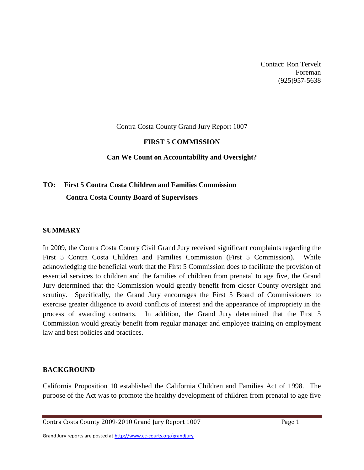Contact: Ron Tervelt Foreman (925)957-5638

#### Contra Costa County Grand Jury Report 1007

#### **FIRST 5 COMMISSION**

#### **Can We Count on Accountability and Oversight?**

# **TO: First 5 Contra Costa Children and Families Commission Contra Costa County Board of Supervisors**

#### **SUMMARY**

In 2009, the Contra Costa County Civil Grand Jury received significant complaints regarding the First 5 Contra Costa Children and Families Commission (First 5 Commission). While acknowledging the beneficial work that the First 5 Commission does to facilitate the provision of essential services to children and the families of children from prenatal to age five, the Grand Jury determined that the Commission would greatly benefit from closer County oversight and scrutiny. Specifically, the Grand Jury encourages the First 5 Board of Commissioners to exercise greater diligence to avoid conflicts of interest and the appearance of impropriety in the process of awarding contracts. In addition, the Grand Jury determined that the First 5 Commission would greatly benefit from regular manager and employee training on employment law and best policies and practices.

#### **BACKGROUND**

California Proposition 10 established the California Children and Families Act of 1998. The purpose of the Act was to promote the healthy development of children from prenatal to age five

Grand Jury reports are posted at http://www.cc-courts.org/grandjury

Contra Costa County 2009-2010 Grand Jury Report 1007 Page 1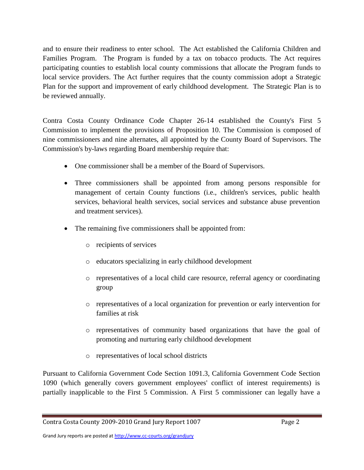and to ensure their readiness to enter school. The Act established the California Children and Families Program. The Program is funded by a tax on tobacco products. The Act requires participating counties to establish local county commissions that allocate the Program funds to local service providers. The Act further requires that the county commission adopt a Strategic Plan for the support and improvement of early childhood development. The Strategic Plan is to be reviewed annually.

Contra Costa County Ordinance Code Chapter 26-14 established the County's First 5 Commission to implement the provisions of Proposition 10. The Commission is composed of nine commissioners and nine alternates, all appointed by the County Board of Supervisors. The Commission's by-laws regarding Board membership require that:

- One commissioner shall be a member of the Board of Supervisors.
- Three commissioners shall be appointed from among persons responsible for management of certain County functions (i.e., children's services, public health services, behavioral health services, social services and substance abuse prevention and treatment services).
- The remaining five commissioners shall be appointed from:
	- o recipients of services
	- o educators specializing in early childhood development
	- o representatives of a local child care resource, referral agency or coordinating group
	- o representatives of a local organization for prevention or early intervention for families at risk
	- o representatives of community based organizations that have the goal of promoting and nurturing early childhood development
	- o representatives of local school districts

Pursuant to California Government Code Section 1091.3, California Government Code Section 1090 (which generally covers government employees' conflict of interest requirements) is partially inapplicable to the First 5 Commission. A First 5 commissioner can legally have a

Contra Costa County 2009-2010 Grand Jury Report 1007 Page 2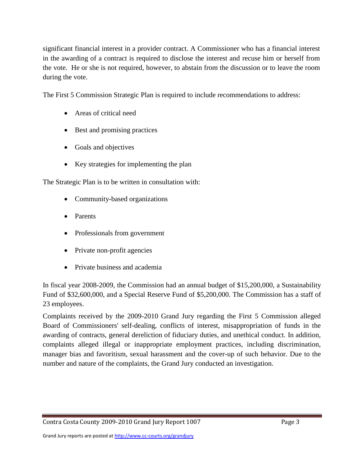significant financial interest in a provider contract. A Commissioner who has a financial interest in the awarding of a contract is required to disclose the interest and recuse him or herself from the vote. He or she is not required, however, to abstain from the discussion or to leave the room during the vote.

The First 5 Commission Strategic Plan is required to include recommendations to address:

- Areas of critical need
- Best and promising practices
- Goals and objectives
- Key strategies for implementing the plan

The Strategic Plan is to be written in consultation with:

- Community-based organizations
- Parents
- Professionals from government
- Private non-profit agencies
- Private business and academia

In fiscal year 2008-2009, the Commission had an annual budget of \$15,200,000, a Sustainability Fund of \$32,600,000, and a Special Reserve Fund of \$5,200,000. The Commission has a staff of 23 employees.

Complaints received by the 2009-2010 Grand Jury regarding the First 5 Commission alleged Board of Commissioners' self-dealing, conflicts of interest, misappropriation of funds in the awarding of contracts, general dereliction of fiduciary duties, and unethical conduct. In addition, complaints alleged illegal or inappropriate employment practices, including discrimination, manager bias and favoritism, sexual harassment and the cover-up of such behavior. Due to the number and nature of the complaints, the Grand Jury conducted an investigation.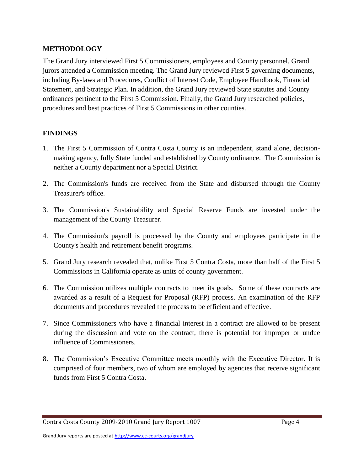# **METHODOLOGY**

The Grand Jury interviewed First 5 Commissioners, employees and County personnel. Grand jurors attended a Commission meeting. The Grand Jury reviewed First 5 governing documents, including By-laws and Procedures, Conflict of Interest Code, Employee Handbook, Financial Statement, and Strategic Plan. In addition, the Grand Jury reviewed State statutes and County ordinances pertinent to the First 5 Commission. Finally, the Grand Jury researched policies, procedures and best practices of First 5 Commissions in other counties.

# **FINDINGS**

- 1. The First 5 Commission of Contra Costa County is an independent, stand alone, decisionmaking agency, fully State funded and established by County ordinance. The Commission is neither a County department nor a Special District.
- 2. The Commission's funds are received from the State and disbursed through the County Treasurer's office.
- 3. The Commission's Sustainability and Special Reserve Funds are invested under the management of the County Treasurer.
- 4. The Commission's payroll is processed by the County and employees participate in the County's health and retirement benefit programs.
- 5. Grand Jury research revealed that, unlike First 5 Contra Costa, more than half of the First 5 Commissions in California operate as units of county government.
- 6. The Commission utilizes multiple contracts to meet its goals. Some of these contracts are awarded as a result of a Request for Proposal (RFP) process. An examination of the RFP documents and procedures revealed the process to be efficient and effective.
- 7. Since Commissioners who have a financial interest in a contract are allowed to be present during the discussion and vote on the contract, there is potential for improper or undue influence of Commissioners.
- 8. The Commission's Executive Committee meets monthly with the Executive Director. It is comprised of four members, two of whom are employed by agencies that receive significant funds from First 5 Contra Costa.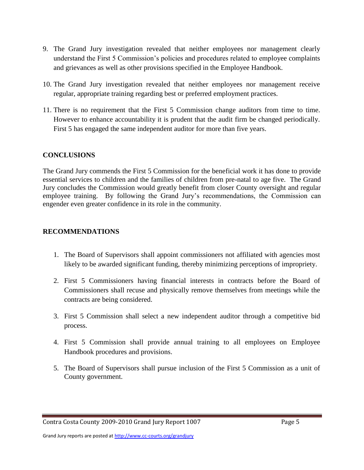- 9. The Grand Jury investigation revealed that neither employees nor management clearly understand the First 5 Commission's policies and procedures related to employee complaints and grievances as well as other provisions specified in the Employee Handbook.
- 10. The Grand Jury investigation revealed that neither employees nor management receive regular, appropriate training regarding best or preferred employment practices.
- 11. There is no requirement that the First 5 Commission change auditors from time to time. However to enhance accountability it is prudent that the audit firm be changed periodically. First 5 has engaged the same independent auditor for more than five years.

### **CONCLUSIONS**

The Grand Jury commends the First 5 Commission for the beneficial work it has done to provide essential services to children and the families of children from pre-natal to age five. The Grand Jury concludes the Commission would greatly benefit from closer County oversight and regular employee training. By following the Grand Jury's recommendations, the Commission can engender even greater confidence in its role in the community.

### **RECOMMENDATIONS**

- 1. The Board of Supervisors shall appoint commissioners not affiliated with agencies most likely to be awarded significant funding, thereby minimizing perceptions of impropriety.
- 2. First 5 Commissioners having financial interests in contracts before the Board of Commissioners shall recuse and physically remove themselves from meetings while the contracts are being considered.
- 3. First 5 Commission shall select a new independent auditor through a competitive bid process.
- 4. First 5 Commission shall provide annual training to all employees on Employee Handbook procedures and provisions.
- 5. The Board of Supervisors shall pursue inclusion of the First 5 Commission as a unit of County government.